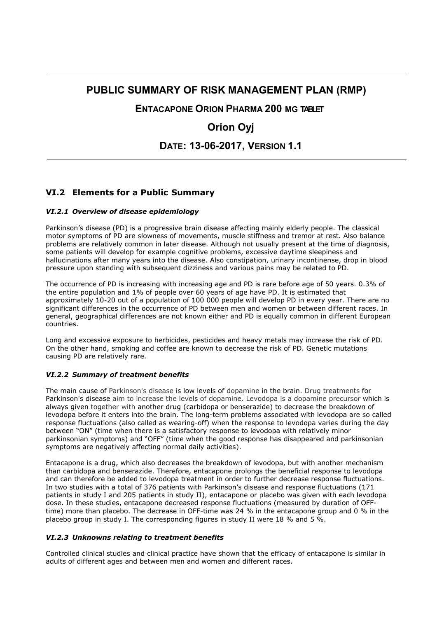## **PUBLIC SUMMARY OF RISK MANAGEMENT PLAN (RMP)**

**ENTACAPONE ORION PHARMA 200 MG TABLET** 

# **Orion Oyj**

**DATE: 13-06-2017, VERSION 1.1**

### **VI.2 Elements for a Public Summary**

#### *VI.2.1 Overview of disease epidemiology*

Parkinson's disease (PD) is a progressive brain disease affecting mainly elderly people. The classical motor symptoms of PD are slowness of movements, muscle stiffness and tremor at rest. Also balance problems are relatively common in later disease. Although not usually present at the time of diagnosis, some patients will develop for example cognitive problems, excessive daytime sleepiness and hallucinations after many years into the disease. Also constipation, urinary incontinense, drop in blood pressure upon standing with subsequent dizziness and various pains may be related to PD.

The occurrence of PD is increasing with increasing age and PD is rare before age of 50 years. 0.3% of the entire population and 1% of people over 60 years of age have PD. It is estimated that approximately 10-20 out of a population of 100 000 people will develop PD in every year. There are no significant differences in the occurrence of PD between men and women or between different races. In general, geographical differences are not known either and PD is equally common in different European countries.

Long and excessive exposure to herbicides, pesticides and heavy metals may increase the risk of PD. On the other hand, smoking and coffee are known to decrease the risk of PD. Genetic mutations causing PD are relatively rare.

#### *VI.2.2 Summary of treatment benefits*

The main cause of Parkinson's disease is low levels of dopamine in the brain. Drug treatments for Parkinson's disease aim to increase the levels of dopamine. Levodopa is a dopamine precursor which is always given together with another drug (carbidopa or benserazide) to decrease the breakdown of levodopa before it enters into the brain. The long-term problems associated with levodopa are so called response fluctuations (also called as wearing-off) when the response to levodopa varies during the day between "ON" (time when there is a satisfactory response to levodopa with relatively minor parkinsonian symptoms) and "OFF" (time when the good response has disappeared and parkinsonian symptoms are negatively affecting normal daily activities).

Entacapone is a drug, which also decreases the breakdown of levodopa, but with another mechanism than carbidopa and benserazide. Therefore, entacapone prolongs the beneficial response to levodopa and can therefore be added to levodopa treatment in order to further decrease response fluctuations. In two studies with a total of 376 patients with Parkinson's disease and response fluctuations (171 patients in study I and 205 patients in study II), entacapone or placebo was given with each levodopa dose. In these studies, entacapone decreased response fluctuations (measured by duration of OFFtime) more than placebo. The decrease in OFF-time was 24 % in the entacapone group and 0 % in the placebo group in study I. The corresponding figures in study II were 18 % and 5 %.

#### *VI.2.3 Unknowns relating to treatment benefits*

Controlled clinical studies and clinical practice have shown that the efficacy of entacapone is similar in adults of different ages and between men and women and different races.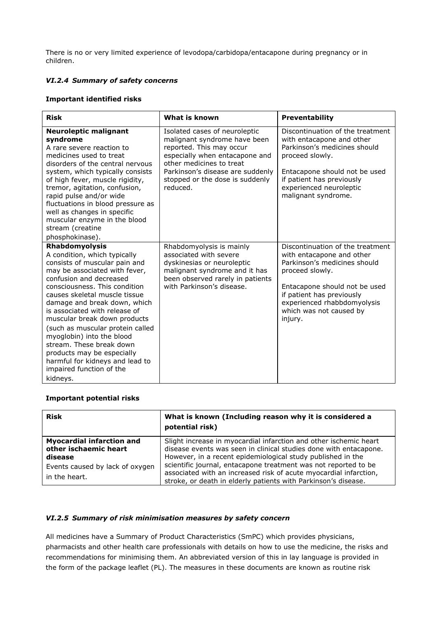There is no or very limited experience of levodopa/carbidopa/entacapone during pregnancy or in children.

#### *VI.2.4 Summary of safety concerns*

#### **Important identified risks**

| <b>Risk</b>                                                                                                                                                                                                                                                                                                                                                                                                                                                                                                          | What is known                                                                                                                                                                                                                              | Preventability                                                                                                                                                                                                                                      |
|----------------------------------------------------------------------------------------------------------------------------------------------------------------------------------------------------------------------------------------------------------------------------------------------------------------------------------------------------------------------------------------------------------------------------------------------------------------------------------------------------------------------|--------------------------------------------------------------------------------------------------------------------------------------------------------------------------------------------------------------------------------------------|-----------------------------------------------------------------------------------------------------------------------------------------------------------------------------------------------------------------------------------------------------|
| <b>Neuroleptic malignant</b><br>syndrome<br>A rare severe reaction to<br>medicines used to treat<br>disorders of the central nervous<br>system, which typically consists<br>of high fever, muscle rigidity,<br>tremor, agitation, confusion,<br>rapid pulse and/or wide<br>fluctuations in blood pressure as<br>well as changes in specific<br>muscular enzyme in the blood<br>stream (creatine<br>phosphokinase).                                                                                                   | Isolated cases of neuroleptic<br>malignant syndrome have been<br>reported. This may occur<br>especially when entacapone and<br>other medicines to treat<br>Parkinson's disease are suddenly<br>stopped or the dose is suddenly<br>reduced. | Discontinuation of the treatment<br>with entacapone and other<br>Parkinson's medicines should<br>proceed slowly.<br>Entacapone should not be used<br>if patient has previously<br>experienced neuroleptic<br>malignant syndrome.                    |
| Rhabdomyolysis<br>A condition, which typically<br>consists of muscular pain and<br>may be associated with fever,<br>confusion and decreased<br>consciousness. This condition<br>causes skeletal muscle tissue<br>damage and break down, which<br>is associated with release of<br>muscular break down products<br>(such as muscular protein called<br>myoglobin) into the blood<br>stream. These break down<br>products may be especially<br>harmful for kidneys and lead to<br>impaired function of the<br>kidneys. | Rhabdomyolysis is mainly<br>associated with severe<br>dyskinesias or neuroleptic<br>malignant syndrome and it has<br>been observed rarely in patients<br>with Parkinson's disease.                                                         | Discontinuation of the treatment<br>with entacapone and other<br>Parkinson's medicines should<br>proceed slowly.<br>Entacapone should not be used<br>if patient has previously<br>experienced rhabbdomyolysis<br>which was not caused by<br>injury. |

#### **Important potential risks**

| <b>Risk</b>                                                                                                              | What is known (Including reason why it is considered a<br>potential risk)                                                                                                                                                                                                                                                                                                                                       |
|--------------------------------------------------------------------------------------------------------------------------|-----------------------------------------------------------------------------------------------------------------------------------------------------------------------------------------------------------------------------------------------------------------------------------------------------------------------------------------------------------------------------------------------------------------|
| <b>Myocardial infarction and</b><br>other ischaemic heart<br>disease<br>Events caused by lack of oxygen<br>in the heart. | Slight increase in myocardial infarction and other ischemic heart<br>disease events was seen in clinical studies done with entacapone.<br>However, in a recent epidemiological study published in the<br>scientific journal, entacapone treatment was not reported to be<br>associated with an increased risk of acute myocardial infarction,<br>stroke, or death in elderly patients with Parkinson's disease. |

#### *VI.2.5 Summary of risk minimisation measures by safety concern*

All medicines have a Summary of Product Characteristics (SmPC) which provides physicians, pharmacists and other health care professionals with details on how to use the medicine, the risks and recommendations for minimising them. An abbreviated version of this in lay language is provided in the form of the package leaflet (PL). The measures in these documents are known as routine risk